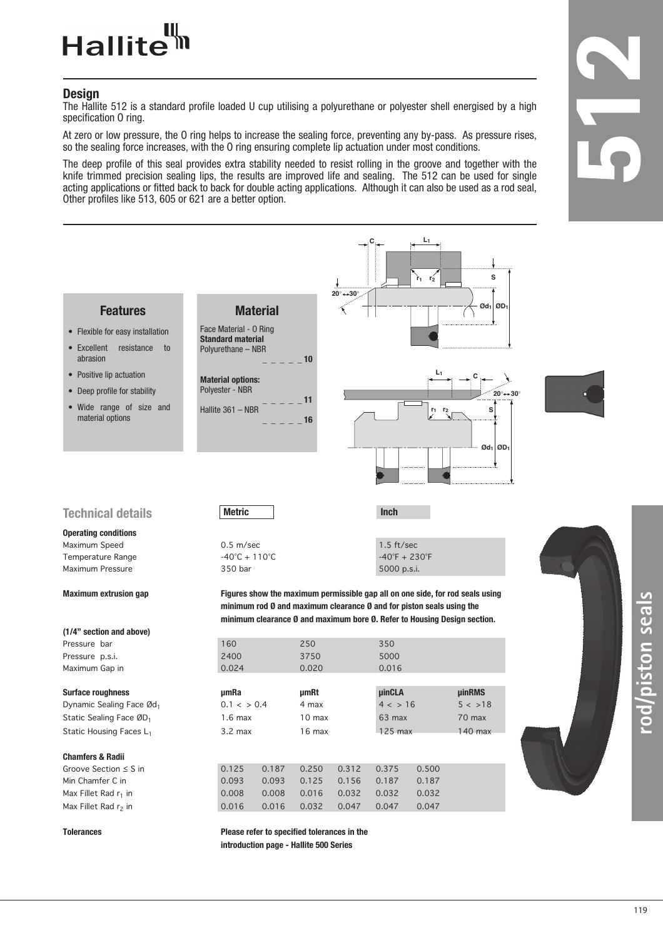#### Hallite<sup>tt</sup>

#### **Design**

The Hallite 512 is a standard profile loaded U cup utilising a polyurethane or polyester shell energised by a high specification O ring.

At zero or low pressure, the O ring helps to increase the sealing force, preventing any by-pass. As pressure rises, so the sealing force increases, with the O ring ensuring complete lip actuation under most conditions.

The deep profile of this seal provides extra stability needed to resist rolling in the groove and together with the knife trimmed precision sealing lips, the results are improved life and sealing. The 512 can be used for single acting applications or fitted back to back for double acting applications. Although it can also be used as a rod seal, Other profiles like 513, 605 or 621 are a better option.



**rod/piston seals**

sless uojsid/po.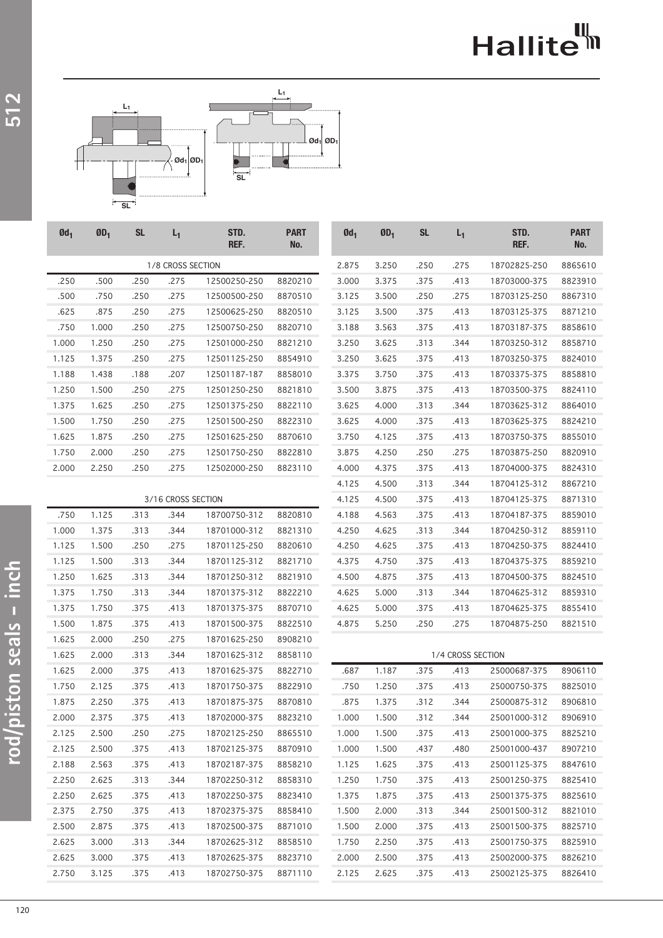## Hallite<sup>th</sup>



| $Qd_1$             | $ØD_1$ | <b>SL</b> | $L_1$ | STD.<br>REF. | <b>PART</b><br>No. | $Qd_1$ | $ØD_1$ | <b>SL</b> | $L_1$             | STD.<br>REF. | <b>PART</b><br>No. |
|--------------------|--------|-----------|-------|--------------|--------------------|--------|--------|-----------|-------------------|--------------|--------------------|
| 1/8 CROSS SECTION  |        |           |       |              |                    | 2.875  | 3.250  | .250      | .275              | 18702825-250 | 8865610            |
| .250               | .500   | .250      | .275  | 12500250-250 | 8820210            | 3.000  | 3.375  | .375      | .413              | 18703000-375 | 8823910            |
| .500               | .750   | .250      | .275  | 12500500-250 | 8870510            | 3.125  | 3.500  | .250      | .275              | 18703125-250 | 8867310            |
| .625               | .875   | .250      | .275  | 12500625-250 | 8820510            | 3.125  | 3.500  | .375      | .413              | 18703125-375 | 8871210            |
| .750               | 1.000  | .250      | .275  | 12500750-250 | 8820710            | 3.188  | 3.563  | .375      | .413              | 18703187-375 | 8858610            |
| 1.000              | 1.250  | .250      | .275  | 12501000-250 | 8821210            | 3.250  | 3.625  | .313      | .344              | 18703250-312 | 8858710            |
| 1.125              | 1.375  | .250      | .275  | 12501125-250 | 8854910            | 3.250  | 3.625  | .375      | .413              | 18703250-375 | 8824010            |
| 1.188              | 1.438  | .188      | .207  | 12501187-187 | 8858010            | 3.375  | 3.750  | .375      | .413              | 18703375-375 | 8858810            |
| 1.250              | 1.500  | .250      | .275  | 12501250-250 | 8821810            | 3.500  | 3.875  | .375      | .413              | 18703500-375 | 8824110            |
| 1.375              | 1.625  | .250      | .275  | 12501375-250 | 8822110            | 3.625  | 4.000  | .313      | .344              | 18703625-312 | 8864010            |
| 1.500              | 1.750  | .250      | .275  | 12501500-250 | 8822310            | 3.625  | 4.000  | .375      | .413              | 18703625-375 | 8824210            |
| 1.625              | 1.875  | .250      | .275  | 12501625-250 | 8870610            | 3.750  | 4.125  | .375      | .413              | 18703750-375 | 8855010            |
| 1.750              | 2.000  | .250      | .275  | 12501750-250 | 8822810            | 3.875  | 4.250  | .250      | .275              | 18703875-250 | 8820910            |
| 2.000              | 2.250  | .250      | .275  | 12502000-250 | 8823110            | 4.000  | 4.375  | .375      | .413              | 18704000-375 | 8824310            |
|                    |        |           |       |              |                    | 4.125  | 4.500  | .313      | .344              | 18704125-312 | 8867210            |
| 3/16 CROSS SECTION |        |           |       |              |                    | 4.125  | 4.500  | .375      | .413              | 18704125-375 | 8871310            |
| .750               | 1.125  | .313      | .344  | 18700750-312 | 8820810            | 4.188  | 4.563  | .375      | .413              | 18704187-375 | 8859010            |
| 1.000              | 1.375  | .313      | .344  | 18701000-312 | 8821310            | 4.250  | 4.625  | .313      | .344              | 18704250-312 | 8859110            |
| 1.125              | 1.500  | .250      | .275  | 18701125-250 | 8820610            | 4.250  | 4.625  | .375      | .413              | 18704250-375 | 8824410            |
| 1.125              | 1.500  | .313      | .344  | 18701125-312 | 8821710            | 4.375  | 4.750  | .375      | .413              | 18704375-375 | 8859210            |
| 1.250              | 1.625  | .313      | .344  | 18701250-312 | 8821910            | 4.500  | 4.875  | .375      | .413              | 18704500-375 | 8824510            |
| 1.375              | 1.750  | .313      | .344  | 18701375-312 | 8822210            | 4.625  | 5.000  | .313      | .344              | 18704625-312 | 8859310            |
| 1.375              | 1.750  | .375      | .413  | 18701375-375 | 8870710            | 4.625  | 5.000  | .375      | .413              | 18704625-375 | 8855410            |
| 1.500              | 1.875  | .375      | .413  | 18701500-375 | 8822510            | 4.875  | 5.250  | .250      | .275              | 18704875-250 | 8821510            |
| 1.625              | 2.000  | .250      | .275  | 18701625-250 | 8908210            |        |        |           |                   |              |                    |
| 1.625              | 2.000  | .313      | .344  | 18701625-312 | 8858110            |        |        |           | 1/4 CROSS SECTION |              |                    |
| 1.625              | 2.000  | .375      | .413  | 18701625-375 | 8822710            | .687   | 1.187  | .375      | .413              | 25000687-375 | 8906110            |
| 1.750              | 2.125  | .375      | .413  | 18701750-375 | 8822910            | .750   | 1.250  | .375      | .413              | 25000750-375 | 8825010            |
| 1.875              | 2.250  | .375      | .413  | 18701875-375 | 8870810            | .875   | 1.375  | .312      | .344              | 25000875-312 | 8906810            |
| 2.000              | 2.375  | .375      | .413  | 18702000-375 | 8823210            | 1.000  | 1.500  | .312      | .344              | 25001000-312 | 8906910            |
| 2.125              | 2.500  | .250      | .275  | 18702125-250 | 8865510            | 1.000  | 1.500  | .375      | .413              | 25001000-375 | 8825210            |
| 2.125              | 2.500  | .375      | .413  | 18702125-375 | 8870910            | 1.000  | 1.500  | .437      | .480              | 25001000-437 | 8907210            |
| 2.188              | 2.563  | .375      | .413  | 18702187-375 | 8858210            | 1.125  | 1.625  | .375      | .413              | 25001125-375 | 8847610            |
| 2.250              | 2.625  | .313      | .344  | 18702250-312 | 8858310            | 1.250  | 1.750  | .375      | .413              | 25001250-375 | 8825410            |
| 2.250              | 2.625  | .375      | .413  | 18702250-375 | 8823410            | 1.375  | 1.875  | .375      | .413              | 25001375-375 | 8825610            |
| 2.375              | 2.750  | .375      | .413  | 18702375-375 | 8858410            | 1.500  | 2.000  | .313      | .344              | 25001500-312 | 8821010            |
| 2.500              | 2.875  | .375      | .413  | 18702500-375 | 8871010            | 1.500  | 2.000  | .375      | .413              | 25001500-375 | 8825710            |
| 2.625              | 3.000  | .313      | .344  | 18702625-312 | 8858510            | 1.750  | 2.250  | .375      | .413              | 25001750-375 | 8825910            |
| 2.625              | 3.000  | .375      | .413  | 18702625-375 | 8823710            | 2.000  | 2.500  | .375      | .413              | 25002000-375 | 8826210            |

2.125 2.625 .375 .413 25002125-375 8826410

2.750 3.125 .375 .413 18702750-375 8871110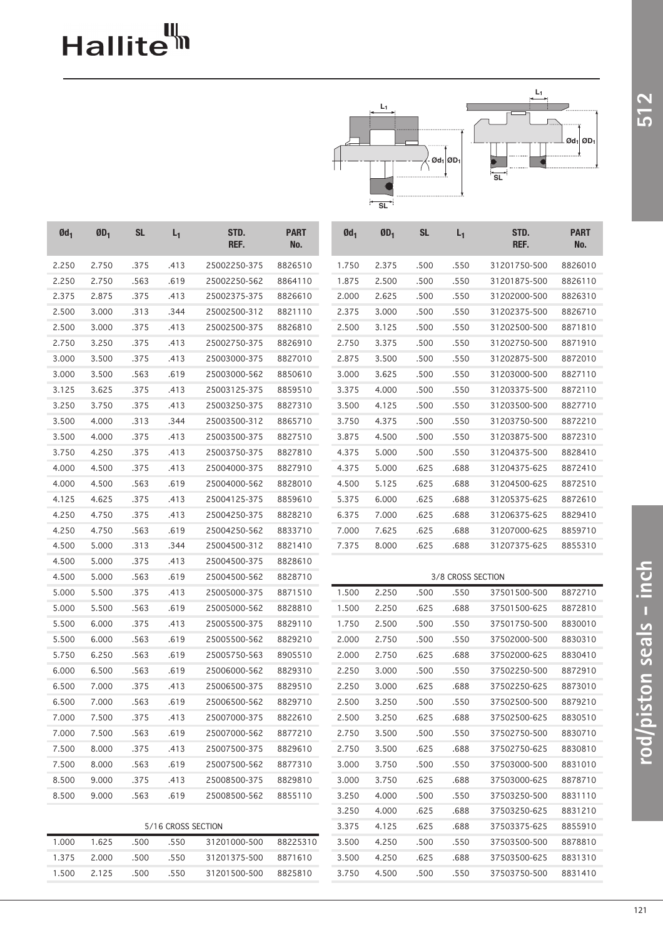# Hallite<sup>th</sup>



| 2.750<br>25002250-375<br>2.375<br>31201750-500<br>8826010<br>2.250<br>.375<br>.413<br>8826510<br>1.750<br>.500<br>.550<br>2.250<br>2.750<br>.563<br>.619<br>2.500<br>.550<br>8826110<br>25002250-562<br>8864110<br>1.875<br>.500<br>31201875-500<br>2.875<br>.375<br>.413<br>2.625<br>.500<br>.550<br>2.375<br>25002375-375<br>8826610<br>2.000<br>31202000-500<br>8826310<br>2.500<br>3.000<br>.313<br>.344<br>25002500-312<br>8821110<br>2.375<br>3.000<br>.500<br>.550<br>31202375-500<br>8826710<br>2.500<br>3.000<br>.375<br>.413<br>25002500-375<br>2.500<br>3.125<br>.550<br>31202500-500<br>8826810<br>.500<br>8871810<br>3.250<br>.413<br>3.375<br>.550<br>2.750<br>.375<br>25002750-375<br>8826910<br>2.750<br>.500<br>31202750-500<br>8871910<br>3.000<br>3.500<br>.375<br>.413<br>25003000-375<br>2.875<br>3.500<br>.550<br>31202875-500<br>8827010<br>.500<br>8872010<br>3.000<br>3.500<br>.563<br>.619<br>25003000-562<br>3.000<br>3.625<br>.500<br>.550<br>8850610<br>31203000-500<br>8827110<br>3.625<br>.413<br>4.000<br>.500<br>.550<br>3.125<br>.375<br>25003125-375<br>8859510<br>3.375<br>31203375-500<br>8872110<br>3.250<br>3.750<br>.375<br>.413<br>25003250-375<br>3.500<br>4.125<br>.500<br>.550<br>31203500-500<br>8827310<br>8827710<br>3.500<br>4.000<br>.313<br>.344<br>25003500-312<br>4.375<br>.550<br>8865710<br>3.750<br>.500<br>31203750-500<br>8872210<br>4.500<br>.550<br>3.500<br>4.000<br>.375<br>.413<br>25003500-375<br>8827510<br>3.875<br>.500<br>31203875-500<br>8872310<br>3.750<br>4.250<br>.413<br>25003750-375<br>4.375<br>5.000<br>.500<br>.550<br>31204375-500<br>.375<br>8827810<br>8828410<br>.688<br>4.000<br>4.500<br>.375<br>.413<br>25004000-375<br>4.375<br>5.000<br>.625<br>31204375-625<br>8827910<br>8872410<br>4.500<br>.563<br>.619<br>4.500<br>5.125<br>.625<br>.688<br>4.000<br>25004000-562<br>8828010<br>31204500-625<br>8872510<br>4.625<br>4.125<br>.375<br>.413<br>25004125-375<br>8859610<br>5.375<br>6.000<br>.625<br>.688<br>31205375-625<br>8872610<br>4.250<br>4.750<br>.375<br>.413<br>25004250-375<br>6.375<br>7.000<br>.625<br>.688<br>31206375-625<br>8828210<br>8829410<br>.619<br>4.250<br>4.750<br>.563<br>25004250-562<br>8833710<br>7.000<br>7.625<br>.625<br>.688<br>31207000-625<br>8859710<br>4.500<br>5.000<br>.344<br>25004500-312<br>7.375<br>8.000<br>.625<br>.688<br>.313<br>8821410<br>31207375-625<br>8855310<br>5.000<br>.375<br>.413<br>4.500<br>25004500-375<br>8828610<br>5.000<br>.563<br>.619<br>4.500<br>25004500-562<br>8828710<br>3/8 CROSS SECTION<br>5.500<br>.375<br>.413<br>25005000-375<br>1.500<br>2.250<br>.550<br>37501500-500<br>8872710<br>5.000<br>8871510<br>.500<br>5.000<br>5.500<br>.563<br>.619<br>25005000-562<br>1.500<br>2.250<br>.625<br>.688<br>37501500-625<br>8828810<br>8872810<br>.413<br>2.500<br>.500<br>.550<br>37501750-500<br>5.500<br>6.000<br>.375<br>25005500-375<br>8829110<br>1.750<br>8830010<br>5.500<br>6.000<br>.563<br>.619<br>25005500-562<br>2.000<br>2.750<br>.550<br>37502000-500<br>8829210<br>.500<br>8830310<br>5.750<br>6.250<br>.563<br>.619<br>2.750<br>.625<br>.688<br>25005750-563<br>8905510<br>2.000<br>37502000-625<br>8830410<br>6.500<br>.563<br>.619<br>3.000<br>.500<br>.550<br>6.000<br>25006000-562<br>8829310<br>2.250<br>37502250-500<br>8872910<br>6.500<br>7.000<br>.413<br>2.250<br>3.000<br>.625<br>.688<br>37502250-625<br>.375<br>25006500-375<br>8829510<br>8873010<br>6.500<br>7.000<br>.563<br>.619<br>3.250<br>.500<br>.550<br>25006500-562<br>8829710<br>2.500<br>37502500-500<br>8879210<br>7.500<br>.413<br>3.250<br>.625<br>7.000<br>.375<br>25007000-375<br>8822610<br>2.500<br>.688<br>37502500-625<br>8830510<br>7.500<br>2.750<br>3.500<br>7.000<br>.563<br>.619<br>25007000-562<br>8877210<br>.500<br>.550<br>37502750-500<br>8830710<br>7.500<br>8.000<br>.375<br>3.500<br>.625<br>.688<br>.413<br>25007500-375<br>8829610<br>2.750<br>37502750-625<br>8830810<br>7.500<br>8.000<br>.563<br>.619<br>25007500-562<br>8877310<br>3.000<br>3.750<br>.500<br>.550<br>37503000-500<br>8831010<br>8.500<br>9.000<br>.375<br>3.750<br>37503000-625<br>.413<br>25008500-375<br>8829810<br>3.000<br>.625<br>.688<br>8878710<br>8.500<br>9.000<br>.563<br>.619<br>4.000<br>25008500-562<br>8855110<br>3.250<br>.500<br>.550<br>37503250-500<br>8831110<br>3.250<br>4.000<br>.625<br>.688<br>37503250-625<br>8831210<br>5/16 CROSS SECTION<br>3.375<br>.625<br>4.125<br>.688<br>37503375-625<br>8855910<br>1.625<br>31201000-500<br>88225310<br>1.000<br>.500<br>.550<br>3.500<br>4.250<br>.500<br>.550<br>37503500-500<br>8878810<br>1.375<br>2.000<br>.550<br>3.500<br>4.250<br>.688<br>.500<br>31201375-500<br>8871610<br>.625<br>37503500-625<br>8831310<br>1.500<br>2.125<br>.500<br>.550<br>4.500<br>.550<br>31201500-500<br>8825810<br>3.750<br>.500<br>37503750-500<br>8831410 | $Qd_1$ | $\mathbf{0}\mathbf{D}_1$ | <b>SL</b> | $L_1$ | STD.<br>REF. | <b>PART</b><br>No. | $Qd_1$ | $ØD_1$ | <b>SL</b> | $L_1$ | STD.<br>REF. | <b>PART</b><br>No. |
|----------------------------------------------------------------------------------------------------------------------------------------------------------------------------------------------------------------------------------------------------------------------------------------------------------------------------------------------------------------------------------------------------------------------------------------------------------------------------------------------------------------------------------------------------------------------------------------------------------------------------------------------------------------------------------------------------------------------------------------------------------------------------------------------------------------------------------------------------------------------------------------------------------------------------------------------------------------------------------------------------------------------------------------------------------------------------------------------------------------------------------------------------------------------------------------------------------------------------------------------------------------------------------------------------------------------------------------------------------------------------------------------------------------------------------------------------------------------------------------------------------------------------------------------------------------------------------------------------------------------------------------------------------------------------------------------------------------------------------------------------------------------------------------------------------------------------------------------------------------------------------------------------------------------------------------------------------------------------------------------------------------------------------------------------------------------------------------------------------------------------------------------------------------------------------------------------------------------------------------------------------------------------------------------------------------------------------------------------------------------------------------------------------------------------------------------------------------------------------------------------------------------------------------------------------------------------------------------------------------------------------------------------------------------------------------------------------------------------------------------------------------------------------------------------------------------------------------------------------------------------------------------------------------------------------------------------------------------------------------------------------------------------------------------------------------------------------------------------------------------------------------------------------------------------------------------------------------------------------------------------------------------------------------------------------------------------------------------------------------------------------------------------------------------------------------------------------------------------------------------------------------------------------------------------------------------------------------------------------------------------------------------------------------------------------------------------------------------------------------------------------------------------------------------------------------------------------------------------------------------------------------------------------------------------------------------------------------------------------------------------------------------------------------------------------------------------------------------------------------------------------------------------------------------------------------------------------------------------------------------------------------------------------------------------------------------------------------------------------------------------------------------------------------------------------------------------------------------------------------------------------------------------------------------------------------------------------------------------------------------------------------------------------------------------------------------------------------------------------------------------------------------------------------------------------------------------------------------------------------------|--------|--------------------------|-----------|-------|--------------|--------------------|--------|--------|-----------|-------|--------------|--------------------|
|                                                                                                                                                                                                                                                                                                                                                                                                                                                                                                                                                                                                                                                                                                                                                                                                                                                                                                                                                                                                                                                                                                                                                                                                                                                                                                                                                                                                                                                                                                                                                                                                                                                                                                                                                                                                                                                                                                                                                                                                                                                                                                                                                                                                                                                                                                                                                                                                                                                                                                                                                                                                                                                                                                                                                                                                                                                                                                                                                                                                                                                                                                                                                                                                                                                                                                                                                                                                                                                                                                                                                                                                                                                                                                                                                                                                                                                                                                                                                                                                                                                                                                                                                                                                                                                                                                                                                                                                                                                                                                                                                                                                                                                                                                                                                                                                                                                                      |        |                          |           |       |              |                    |        |        |           |       |              |                    |
|                                                                                                                                                                                                                                                                                                                                                                                                                                                                                                                                                                                                                                                                                                                                                                                                                                                                                                                                                                                                                                                                                                                                                                                                                                                                                                                                                                                                                                                                                                                                                                                                                                                                                                                                                                                                                                                                                                                                                                                                                                                                                                                                                                                                                                                                                                                                                                                                                                                                                                                                                                                                                                                                                                                                                                                                                                                                                                                                                                                                                                                                                                                                                                                                                                                                                                                                                                                                                                                                                                                                                                                                                                                                                                                                                                                                                                                                                                                                                                                                                                                                                                                                                                                                                                                                                                                                                                                                                                                                                                                                                                                                                                                                                                                                                                                                                                                                      |        |                          |           |       |              |                    |        |        |           |       |              |                    |
|                                                                                                                                                                                                                                                                                                                                                                                                                                                                                                                                                                                                                                                                                                                                                                                                                                                                                                                                                                                                                                                                                                                                                                                                                                                                                                                                                                                                                                                                                                                                                                                                                                                                                                                                                                                                                                                                                                                                                                                                                                                                                                                                                                                                                                                                                                                                                                                                                                                                                                                                                                                                                                                                                                                                                                                                                                                                                                                                                                                                                                                                                                                                                                                                                                                                                                                                                                                                                                                                                                                                                                                                                                                                                                                                                                                                                                                                                                                                                                                                                                                                                                                                                                                                                                                                                                                                                                                                                                                                                                                                                                                                                                                                                                                                                                                                                                                                      |        |                          |           |       |              |                    |        |        |           |       |              |                    |
|                                                                                                                                                                                                                                                                                                                                                                                                                                                                                                                                                                                                                                                                                                                                                                                                                                                                                                                                                                                                                                                                                                                                                                                                                                                                                                                                                                                                                                                                                                                                                                                                                                                                                                                                                                                                                                                                                                                                                                                                                                                                                                                                                                                                                                                                                                                                                                                                                                                                                                                                                                                                                                                                                                                                                                                                                                                                                                                                                                                                                                                                                                                                                                                                                                                                                                                                                                                                                                                                                                                                                                                                                                                                                                                                                                                                                                                                                                                                                                                                                                                                                                                                                                                                                                                                                                                                                                                                                                                                                                                                                                                                                                                                                                                                                                                                                                                                      |        |                          |           |       |              |                    |        |        |           |       |              |                    |
|                                                                                                                                                                                                                                                                                                                                                                                                                                                                                                                                                                                                                                                                                                                                                                                                                                                                                                                                                                                                                                                                                                                                                                                                                                                                                                                                                                                                                                                                                                                                                                                                                                                                                                                                                                                                                                                                                                                                                                                                                                                                                                                                                                                                                                                                                                                                                                                                                                                                                                                                                                                                                                                                                                                                                                                                                                                                                                                                                                                                                                                                                                                                                                                                                                                                                                                                                                                                                                                                                                                                                                                                                                                                                                                                                                                                                                                                                                                                                                                                                                                                                                                                                                                                                                                                                                                                                                                                                                                                                                                                                                                                                                                                                                                                                                                                                                                                      |        |                          |           |       |              |                    |        |        |           |       |              |                    |
|                                                                                                                                                                                                                                                                                                                                                                                                                                                                                                                                                                                                                                                                                                                                                                                                                                                                                                                                                                                                                                                                                                                                                                                                                                                                                                                                                                                                                                                                                                                                                                                                                                                                                                                                                                                                                                                                                                                                                                                                                                                                                                                                                                                                                                                                                                                                                                                                                                                                                                                                                                                                                                                                                                                                                                                                                                                                                                                                                                                                                                                                                                                                                                                                                                                                                                                                                                                                                                                                                                                                                                                                                                                                                                                                                                                                                                                                                                                                                                                                                                                                                                                                                                                                                                                                                                                                                                                                                                                                                                                                                                                                                                                                                                                                                                                                                                                                      |        |                          |           |       |              |                    |        |        |           |       |              |                    |
|                                                                                                                                                                                                                                                                                                                                                                                                                                                                                                                                                                                                                                                                                                                                                                                                                                                                                                                                                                                                                                                                                                                                                                                                                                                                                                                                                                                                                                                                                                                                                                                                                                                                                                                                                                                                                                                                                                                                                                                                                                                                                                                                                                                                                                                                                                                                                                                                                                                                                                                                                                                                                                                                                                                                                                                                                                                                                                                                                                                                                                                                                                                                                                                                                                                                                                                                                                                                                                                                                                                                                                                                                                                                                                                                                                                                                                                                                                                                                                                                                                                                                                                                                                                                                                                                                                                                                                                                                                                                                                                                                                                                                                                                                                                                                                                                                                                                      |        |                          |           |       |              |                    |        |        |           |       |              |                    |
|                                                                                                                                                                                                                                                                                                                                                                                                                                                                                                                                                                                                                                                                                                                                                                                                                                                                                                                                                                                                                                                                                                                                                                                                                                                                                                                                                                                                                                                                                                                                                                                                                                                                                                                                                                                                                                                                                                                                                                                                                                                                                                                                                                                                                                                                                                                                                                                                                                                                                                                                                                                                                                                                                                                                                                                                                                                                                                                                                                                                                                                                                                                                                                                                                                                                                                                                                                                                                                                                                                                                                                                                                                                                                                                                                                                                                                                                                                                                                                                                                                                                                                                                                                                                                                                                                                                                                                                                                                                                                                                                                                                                                                                                                                                                                                                                                                                                      |        |                          |           |       |              |                    |        |        |           |       |              |                    |
|                                                                                                                                                                                                                                                                                                                                                                                                                                                                                                                                                                                                                                                                                                                                                                                                                                                                                                                                                                                                                                                                                                                                                                                                                                                                                                                                                                                                                                                                                                                                                                                                                                                                                                                                                                                                                                                                                                                                                                                                                                                                                                                                                                                                                                                                                                                                                                                                                                                                                                                                                                                                                                                                                                                                                                                                                                                                                                                                                                                                                                                                                                                                                                                                                                                                                                                                                                                                                                                                                                                                                                                                                                                                                                                                                                                                                                                                                                                                                                                                                                                                                                                                                                                                                                                                                                                                                                                                                                                                                                                                                                                                                                                                                                                                                                                                                                                                      |        |                          |           |       |              |                    |        |        |           |       |              |                    |
|                                                                                                                                                                                                                                                                                                                                                                                                                                                                                                                                                                                                                                                                                                                                                                                                                                                                                                                                                                                                                                                                                                                                                                                                                                                                                                                                                                                                                                                                                                                                                                                                                                                                                                                                                                                                                                                                                                                                                                                                                                                                                                                                                                                                                                                                                                                                                                                                                                                                                                                                                                                                                                                                                                                                                                                                                                                                                                                                                                                                                                                                                                                                                                                                                                                                                                                                                                                                                                                                                                                                                                                                                                                                                                                                                                                                                                                                                                                                                                                                                                                                                                                                                                                                                                                                                                                                                                                                                                                                                                                                                                                                                                                                                                                                                                                                                                                                      |        |                          |           |       |              |                    |        |        |           |       |              |                    |
|                                                                                                                                                                                                                                                                                                                                                                                                                                                                                                                                                                                                                                                                                                                                                                                                                                                                                                                                                                                                                                                                                                                                                                                                                                                                                                                                                                                                                                                                                                                                                                                                                                                                                                                                                                                                                                                                                                                                                                                                                                                                                                                                                                                                                                                                                                                                                                                                                                                                                                                                                                                                                                                                                                                                                                                                                                                                                                                                                                                                                                                                                                                                                                                                                                                                                                                                                                                                                                                                                                                                                                                                                                                                                                                                                                                                                                                                                                                                                                                                                                                                                                                                                                                                                                                                                                                                                                                                                                                                                                                                                                                                                                                                                                                                                                                                                                                                      |        |                          |           |       |              |                    |        |        |           |       |              |                    |
|                                                                                                                                                                                                                                                                                                                                                                                                                                                                                                                                                                                                                                                                                                                                                                                                                                                                                                                                                                                                                                                                                                                                                                                                                                                                                                                                                                                                                                                                                                                                                                                                                                                                                                                                                                                                                                                                                                                                                                                                                                                                                                                                                                                                                                                                                                                                                                                                                                                                                                                                                                                                                                                                                                                                                                                                                                                                                                                                                                                                                                                                                                                                                                                                                                                                                                                                                                                                                                                                                                                                                                                                                                                                                                                                                                                                                                                                                                                                                                                                                                                                                                                                                                                                                                                                                                                                                                                                                                                                                                                                                                                                                                                                                                                                                                                                                                                                      |        |                          |           |       |              |                    |        |        |           |       |              |                    |
|                                                                                                                                                                                                                                                                                                                                                                                                                                                                                                                                                                                                                                                                                                                                                                                                                                                                                                                                                                                                                                                                                                                                                                                                                                                                                                                                                                                                                                                                                                                                                                                                                                                                                                                                                                                                                                                                                                                                                                                                                                                                                                                                                                                                                                                                                                                                                                                                                                                                                                                                                                                                                                                                                                                                                                                                                                                                                                                                                                                                                                                                                                                                                                                                                                                                                                                                                                                                                                                                                                                                                                                                                                                                                                                                                                                                                                                                                                                                                                                                                                                                                                                                                                                                                                                                                                                                                                                                                                                                                                                                                                                                                                                                                                                                                                                                                                                                      |        |                          |           |       |              |                    |        |        |           |       |              |                    |
|                                                                                                                                                                                                                                                                                                                                                                                                                                                                                                                                                                                                                                                                                                                                                                                                                                                                                                                                                                                                                                                                                                                                                                                                                                                                                                                                                                                                                                                                                                                                                                                                                                                                                                                                                                                                                                                                                                                                                                                                                                                                                                                                                                                                                                                                                                                                                                                                                                                                                                                                                                                                                                                                                                                                                                                                                                                                                                                                                                                                                                                                                                                                                                                                                                                                                                                                                                                                                                                                                                                                                                                                                                                                                                                                                                                                                                                                                                                                                                                                                                                                                                                                                                                                                                                                                                                                                                                                                                                                                                                                                                                                                                                                                                                                                                                                                                                                      |        |                          |           |       |              |                    |        |        |           |       |              |                    |
|                                                                                                                                                                                                                                                                                                                                                                                                                                                                                                                                                                                                                                                                                                                                                                                                                                                                                                                                                                                                                                                                                                                                                                                                                                                                                                                                                                                                                                                                                                                                                                                                                                                                                                                                                                                                                                                                                                                                                                                                                                                                                                                                                                                                                                                                                                                                                                                                                                                                                                                                                                                                                                                                                                                                                                                                                                                                                                                                                                                                                                                                                                                                                                                                                                                                                                                                                                                                                                                                                                                                                                                                                                                                                                                                                                                                                                                                                                                                                                                                                                                                                                                                                                                                                                                                                                                                                                                                                                                                                                                                                                                                                                                                                                                                                                                                                                                                      |        |                          |           |       |              |                    |        |        |           |       |              |                    |
|                                                                                                                                                                                                                                                                                                                                                                                                                                                                                                                                                                                                                                                                                                                                                                                                                                                                                                                                                                                                                                                                                                                                                                                                                                                                                                                                                                                                                                                                                                                                                                                                                                                                                                                                                                                                                                                                                                                                                                                                                                                                                                                                                                                                                                                                                                                                                                                                                                                                                                                                                                                                                                                                                                                                                                                                                                                                                                                                                                                                                                                                                                                                                                                                                                                                                                                                                                                                                                                                                                                                                                                                                                                                                                                                                                                                                                                                                                                                                                                                                                                                                                                                                                                                                                                                                                                                                                                                                                                                                                                                                                                                                                                                                                                                                                                                                                                                      |        |                          |           |       |              |                    |        |        |           |       |              |                    |
|                                                                                                                                                                                                                                                                                                                                                                                                                                                                                                                                                                                                                                                                                                                                                                                                                                                                                                                                                                                                                                                                                                                                                                                                                                                                                                                                                                                                                                                                                                                                                                                                                                                                                                                                                                                                                                                                                                                                                                                                                                                                                                                                                                                                                                                                                                                                                                                                                                                                                                                                                                                                                                                                                                                                                                                                                                                                                                                                                                                                                                                                                                                                                                                                                                                                                                                                                                                                                                                                                                                                                                                                                                                                                                                                                                                                                                                                                                                                                                                                                                                                                                                                                                                                                                                                                                                                                                                                                                                                                                                                                                                                                                                                                                                                                                                                                                                                      |        |                          |           |       |              |                    |        |        |           |       |              |                    |
|                                                                                                                                                                                                                                                                                                                                                                                                                                                                                                                                                                                                                                                                                                                                                                                                                                                                                                                                                                                                                                                                                                                                                                                                                                                                                                                                                                                                                                                                                                                                                                                                                                                                                                                                                                                                                                                                                                                                                                                                                                                                                                                                                                                                                                                                                                                                                                                                                                                                                                                                                                                                                                                                                                                                                                                                                                                                                                                                                                                                                                                                                                                                                                                                                                                                                                                                                                                                                                                                                                                                                                                                                                                                                                                                                                                                                                                                                                                                                                                                                                                                                                                                                                                                                                                                                                                                                                                                                                                                                                                                                                                                                                                                                                                                                                                                                                                                      |        |                          |           |       |              |                    |        |        |           |       |              |                    |
|                                                                                                                                                                                                                                                                                                                                                                                                                                                                                                                                                                                                                                                                                                                                                                                                                                                                                                                                                                                                                                                                                                                                                                                                                                                                                                                                                                                                                                                                                                                                                                                                                                                                                                                                                                                                                                                                                                                                                                                                                                                                                                                                                                                                                                                                                                                                                                                                                                                                                                                                                                                                                                                                                                                                                                                                                                                                                                                                                                                                                                                                                                                                                                                                                                                                                                                                                                                                                                                                                                                                                                                                                                                                                                                                                                                                                                                                                                                                                                                                                                                                                                                                                                                                                                                                                                                                                                                                                                                                                                                                                                                                                                                                                                                                                                                                                                                                      |        |                          |           |       |              |                    |        |        |           |       |              |                    |
|                                                                                                                                                                                                                                                                                                                                                                                                                                                                                                                                                                                                                                                                                                                                                                                                                                                                                                                                                                                                                                                                                                                                                                                                                                                                                                                                                                                                                                                                                                                                                                                                                                                                                                                                                                                                                                                                                                                                                                                                                                                                                                                                                                                                                                                                                                                                                                                                                                                                                                                                                                                                                                                                                                                                                                                                                                                                                                                                                                                                                                                                                                                                                                                                                                                                                                                                                                                                                                                                                                                                                                                                                                                                                                                                                                                                                                                                                                                                                                                                                                                                                                                                                                                                                                                                                                                                                                                                                                                                                                                                                                                                                                                                                                                                                                                                                                                                      |        |                          |           |       |              |                    |        |        |           |       |              |                    |
|                                                                                                                                                                                                                                                                                                                                                                                                                                                                                                                                                                                                                                                                                                                                                                                                                                                                                                                                                                                                                                                                                                                                                                                                                                                                                                                                                                                                                                                                                                                                                                                                                                                                                                                                                                                                                                                                                                                                                                                                                                                                                                                                                                                                                                                                                                                                                                                                                                                                                                                                                                                                                                                                                                                                                                                                                                                                                                                                                                                                                                                                                                                                                                                                                                                                                                                                                                                                                                                                                                                                                                                                                                                                                                                                                                                                                                                                                                                                                                                                                                                                                                                                                                                                                                                                                                                                                                                                                                                                                                                                                                                                                                                                                                                                                                                                                                                                      |        |                          |           |       |              |                    |        |        |           |       |              |                    |
|                                                                                                                                                                                                                                                                                                                                                                                                                                                                                                                                                                                                                                                                                                                                                                                                                                                                                                                                                                                                                                                                                                                                                                                                                                                                                                                                                                                                                                                                                                                                                                                                                                                                                                                                                                                                                                                                                                                                                                                                                                                                                                                                                                                                                                                                                                                                                                                                                                                                                                                                                                                                                                                                                                                                                                                                                                                                                                                                                                                                                                                                                                                                                                                                                                                                                                                                                                                                                                                                                                                                                                                                                                                                                                                                                                                                                                                                                                                                                                                                                                                                                                                                                                                                                                                                                                                                                                                                                                                                                                                                                                                                                                                                                                                                                                                                                                                                      |        |                          |           |       |              |                    |        |        |           |       |              |                    |
|                                                                                                                                                                                                                                                                                                                                                                                                                                                                                                                                                                                                                                                                                                                                                                                                                                                                                                                                                                                                                                                                                                                                                                                                                                                                                                                                                                                                                                                                                                                                                                                                                                                                                                                                                                                                                                                                                                                                                                                                                                                                                                                                                                                                                                                                                                                                                                                                                                                                                                                                                                                                                                                                                                                                                                                                                                                                                                                                                                                                                                                                                                                                                                                                                                                                                                                                                                                                                                                                                                                                                                                                                                                                                                                                                                                                                                                                                                                                                                                                                                                                                                                                                                                                                                                                                                                                                                                                                                                                                                                                                                                                                                                                                                                                                                                                                                                                      |        |                          |           |       |              |                    |        |        |           |       |              |                    |
|                                                                                                                                                                                                                                                                                                                                                                                                                                                                                                                                                                                                                                                                                                                                                                                                                                                                                                                                                                                                                                                                                                                                                                                                                                                                                                                                                                                                                                                                                                                                                                                                                                                                                                                                                                                                                                                                                                                                                                                                                                                                                                                                                                                                                                                                                                                                                                                                                                                                                                                                                                                                                                                                                                                                                                                                                                                                                                                                                                                                                                                                                                                                                                                                                                                                                                                                                                                                                                                                                                                                                                                                                                                                                                                                                                                                                                                                                                                                                                                                                                                                                                                                                                                                                                                                                                                                                                                                                                                                                                                                                                                                                                                                                                                                                                                                                                                                      |        |                          |           |       |              |                    |        |        |           |       |              |                    |
|                                                                                                                                                                                                                                                                                                                                                                                                                                                                                                                                                                                                                                                                                                                                                                                                                                                                                                                                                                                                                                                                                                                                                                                                                                                                                                                                                                                                                                                                                                                                                                                                                                                                                                                                                                                                                                                                                                                                                                                                                                                                                                                                                                                                                                                                                                                                                                                                                                                                                                                                                                                                                                                                                                                                                                                                                                                                                                                                                                                                                                                                                                                                                                                                                                                                                                                                                                                                                                                                                                                                                                                                                                                                                                                                                                                                                                                                                                                                                                                                                                                                                                                                                                                                                                                                                                                                                                                                                                                                                                                                                                                                                                                                                                                                                                                                                                                                      |        |                          |           |       |              |                    |        |        |           |       |              |                    |
|                                                                                                                                                                                                                                                                                                                                                                                                                                                                                                                                                                                                                                                                                                                                                                                                                                                                                                                                                                                                                                                                                                                                                                                                                                                                                                                                                                                                                                                                                                                                                                                                                                                                                                                                                                                                                                                                                                                                                                                                                                                                                                                                                                                                                                                                                                                                                                                                                                                                                                                                                                                                                                                                                                                                                                                                                                                                                                                                                                                                                                                                                                                                                                                                                                                                                                                                                                                                                                                                                                                                                                                                                                                                                                                                                                                                                                                                                                                                                                                                                                                                                                                                                                                                                                                                                                                                                                                                                                                                                                                                                                                                                                                                                                                                                                                                                                                                      |        |                          |           |       |              |                    |        |        |           |       |              |                    |
|                                                                                                                                                                                                                                                                                                                                                                                                                                                                                                                                                                                                                                                                                                                                                                                                                                                                                                                                                                                                                                                                                                                                                                                                                                                                                                                                                                                                                                                                                                                                                                                                                                                                                                                                                                                                                                                                                                                                                                                                                                                                                                                                                                                                                                                                                                                                                                                                                                                                                                                                                                                                                                                                                                                                                                                                                                                                                                                                                                                                                                                                                                                                                                                                                                                                                                                                                                                                                                                                                                                                                                                                                                                                                                                                                                                                                                                                                                                                                                                                                                                                                                                                                                                                                                                                                                                                                                                                                                                                                                                                                                                                                                                                                                                                                                                                                                                                      |        |                          |           |       |              |                    |        |        |           |       |              |                    |
|                                                                                                                                                                                                                                                                                                                                                                                                                                                                                                                                                                                                                                                                                                                                                                                                                                                                                                                                                                                                                                                                                                                                                                                                                                                                                                                                                                                                                                                                                                                                                                                                                                                                                                                                                                                                                                                                                                                                                                                                                                                                                                                                                                                                                                                                                                                                                                                                                                                                                                                                                                                                                                                                                                                                                                                                                                                                                                                                                                                                                                                                                                                                                                                                                                                                                                                                                                                                                                                                                                                                                                                                                                                                                                                                                                                                                                                                                                                                                                                                                                                                                                                                                                                                                                                                                                                                                                                                                                                                                                                                                                                                                                                                                                                                                                                                                                                                      |        |                          |           |       |              |                    |        |        |           |       |              |                    |
|                                                                                                                                                                                                                                                                                                                                                                                                                                                                                                                                                                                                                                                                                                                                                                                                                                                                                                                                                                                                                                                                                                                                                                                                                                                                                                                                                                                                                                                                                                                                                                                                                                                                                                                                                                                                                                                                                                                                                                                                                                                                                                                                                                                                                                                                                                                                                                                                                                                                                                                                                                                                                                                                                                                                                                                                                                                                                                                                                                                                                                                                                                                                                                                                                                                                                                                                                                                                                                                                                                                                                                                                                                                                                                                                                                                                                                                                                                                                                                                                                                                                                                                                                                                                                                                                                                                                                                                                                                                                                                                                                                                                                                                                                                                                                                                                                                                                      |        |                          |           |       |              |                    |        |        |           |       |              |                    |
|                                                                                                                                                                                                                                                                                                                                                                                                                                                                                                                                                                                                                                                                                                                                                                                                                                                                                                                                                                                                                                                                                                                                                                                                                                                                                                                                                                                                                                                                                                                                                                                                                                                                                                                                                                                                                                                                                                                                                                                                                                                                                                                                                                                                                                                                                                                                                                                                                                                                                                                                                                                                                                                                                                                                                                                                                                                                                                                                                                                                                                                                                                                                                                                                                                                                                                                                                                                                                                                                                                                                                                                                                                                                                                                                                                                                                                                                                                                                                                                                                                                                                                                                                                                                                                                                                                                                                                                                                                                                                                                                                                                                                                                                                                                                                                                                                                                                      |        |                          |           |       |              |                    |        |        |           |       |              |                    |
|                                                                                                                                                                                                                                                                                                                                                                                                                                                                                                                                                                                                                                                                                                                                                                                                                                                                                                                                                                                                                                                                                                                                                                                                                                                                                                                                                                                                                                                                                                                                                                                                                                                                                                                                                                                                                                                                                                                                                                                                                                                                                                                                                                                                                                                                                                                                                                                                                                                                                                                                                                                                                                                                                                                                                                                                                                                                                                                                                                                                                                                                                                                                                                                                                                                                                                                                                                                                                                                                                                                                                                                                                                                                                                                                                                                                                                                                                                                                                                                                                                                                                                                                                                                                                                                                                                                                                                                                                                                                                                                                                                                                                                                                                                                                                                                                                                                                      |        |                          |           |       |              |                    |        |        |           |       |              |                    |
|                                                                                                                                                                                                                                                                                                                                                                                                                                                                                                                                                                                                                                                                                                                                                                                                                                                                                                                                                                                                                                                                                                                                                                                                                                                                                                                                                                                                                                                                                                                                                                                                                                                                                                                                                                                                                                                                                                                                                                                                                                                                                                                                                                                                                                                                                                                                                                                                                                                                                                                                                                                                                                                                                                                                                                                                                                                                                                                                                                                                                                                                                                                                                                                                                                                                                                                                                                                                                                                                                                                                                                                                                                                                                                                                                                                                                                                                                                                                                                                                                                                                                                                                                                                                                                                                                                                                                                                                                                                                                                                                                                                                                                                                                                                                                                                                                                                                      |        |                          |           |       |              |                    |        |        |           |       |              |                    |
|                                                                                                                                                                                                                                                                                                                                                                                                                                                                                                                                                                                                                                                                                                                                                                                                                                                                                                                                                                                                                                                                                                                                                                                                                                                                                                                                                                                                                                                                                                                                                                                                                                                                                                                                                                                                                                                                                                                                                                                                                                                                                                                                                                                                                                                                                                                                                                                                                                                                                                                                                                                                                                                                                                                                                                                                                                                                                                                                                                                                                                                                                                                                                                                                                                                                                                                                                                                                                                                                                                                                                                                                                                                                                                                                                                                                                                                                                                                                                                                                                                                                                                                                                                                                                                                                                                                                                                                                                                                                                                                                                                                                                                                                                                                                                                                                                                                                      |        |                          |           |       |              |                    |        |        |           |       |              |                    |
|                                                                                                                                                                                                                                                                                                                                                                                                                                                                                                                                                                                                                                                                                                                                                                                                                                                                                                                                                                                                                                                                                                                                                                                                                                                                                                                                                                                                                                                                                                                                                                                                                                                                                                                                                                                                                                                                                                                                                                                                                                                                                                                                                                                                                                                                                                                                                                                                                                                                                                                                                                                                                                                                                                                                                                                                                                                                                                                                                                                                                                                                                                                                                                                                                                                                                                                                                                                                                                                                                                                                                                                                                                                                                                                                                                                                                                                                                                                                                                                                                                                                                                                                                                                                                                                                                                                                                                                                                                                                                                                                                                                                                                                                                                                                                                                                                                                                      |        |                          |           |       |              |                    |        |        |           |       |              |                    |
|                                                                                                                                                                                                                                                                                                                                                                                                                                                                                                                                                                                                                                                                                                                                                                                                                                                                                                                                                                                                                                                                                                                                                                                                                                                                                                                                                                                                                                                                                                                                                                                                                                                                                                                                                                                                                                                                                                                                                                                                                                                                                                                                                                                                                                                                                                                                                                                                                                                                                                                                                                                                                                                                                                                                                                                                                                                                                                                                                                                                                                                                                                                                                                                                                                                                                                                                                                                                                                                                                                                                                                                                                                                                                                                                                                                                                                                                                                                                                                                                                                                                                                                                                                                                                                                                                                                                                                                                                                                                                                                                                                                                                                                                                                                                                                                                                                                                      |        |                          |           |       |              |                    |        |        |           |       |              |                    |
|                                                                                                                                                                                                                                                                                                                                                                                                                                                                                                                                                                                                                                                                                                                                                                                                                                                                                                                                                                                                                                                                                                                                                                                                                                                                                                                                                                                                                                                                                                                                                                                                                                                                                                                                                                                                                                                                                                                                                                                                                                                                                                                                                                                                                                                                                                                                                                                                                                                                                                                                                                                                                                                                                                                                                                                                                                                                                                                                                                                                                                                                                                                                                                                                                                                                                                                                                                                                                                                                                                                                                                                                                                                                                                                                                                                                                                                                                                                                                                                                                                                                                                                                                                                                                                                                                                                                                                                                                                                                                                                                                                                                                                                                                                                                                                                                                                                                      |        |                          |           |       |              |                    |        |        |           |       |              |                    |
|                                                                                                                                                                                                                                                                                                                                                                                                                                                                                                                                                                                                                                                                                                                                                                                                                                                                                                                                                                                                                                                                                                                                                                                                                                                                                                                                                                                                                                                                                                                                                                                                                                                                                                                                                                                                                                                                                                                                                                                                                                                                                                                                                                                                                                                                                                                                                                                                                                                                                                                                                                                                                                                                                                                                                                                                                                                                                                                                                                                                                                                                                                                                                                                                                                                                                                                                                                                                                                                                                                                                                                                                                                                                                                                                                                                                                                                                                                                                                                                                                                                                                                                                                                                                                                                                                                                                                                                                                                                                                                                                                                                                                                                                                                                                                                                                                                                                      |        |                          |           |       |              |                    |        |        |           |       |              |                    |
|                                                                                                                                                                                                                                                                                                                                                                                                                                                                                                                                                                                                                                                                                                                                                                                                                                                                                                                                                                                                                                                                                                                                                                                                                                                                                                                                                                                                                                                                                                                                                                                                                                                                                                                                                                                                                                                                                                                                                                                                                                                                                                                                                                                                                                                                                                                                                                                                                                                                                                                                                                                                                                                                                                                                                                                                                                                                                                                                                                                                                                                                                                                                                                                                                                                                                                                                                                                                                                                                                                                                                                                                                                                                                                                                                                                                                                                                                                                                                                                                                                                                                                                                                                                                                                                                                                                                                                                                                                                                                                                                                                                                                                                                                                                                                                                                                                                                      |        |                          |           |       |              |                    |        |        |           |       |              |                    |
|                                                                                                                                                                                                                                                                                                                                                                                                                                                                                                                                                                                                                                                                                                                                                                                                                                                                                                                                                                                                                                                                                                                                                                                                                                                                                                                                                                                                                                                                                                                                                                                                                                                                                                                                                                                                                                                                                                                                                                                                                                                                                                                                                                                                                                                                                                                                                                                                                                                                                                                                                                                                                                                                                                                                                                                                                                                                                                                                                                                                                                                                                                                                                                                                                                                                                                                                                                                                                                                                                                                                                                                                                                                                                                                                                                                                                                                                                                                                                                                                                                                                                                                                                                                                                                                                                                                                                                                                                                                                                                                                                                                                                                                                                                                                                                                                                                                                      |        |                          |           |       |              |                    |        |        |           |       |              |                    |
|                                                                                                                                                                                                                                                                                                                                                                                                                                                                                                                                                                                                                                                                                                                                                                                                                                                                                                                                                                                                                                                                                                                                                                                                                                                                                                                                                                                                                                                                                                                                                                                                                                                                                                                                                                                                                                                                                                                                                                                                                                                                                                                                                                                                                                                                                                                                                                                                                                                                                                                                                                                                                                                                                                                                                                                                                                                                                                                                                                                                                                                                                                                                                                                                                                                                                                                                                                                                                                                                                                                                                                                                                                                                                                                                                                                                                                                                                                                                                                                                                                                                                                                                                                                                                                                                                                                                                                                                                                                                                                                                                                                                                                                                                                                                                                                                                                                                      |        |                          |           |       |              |                    |        |        |           |       |              |                    |